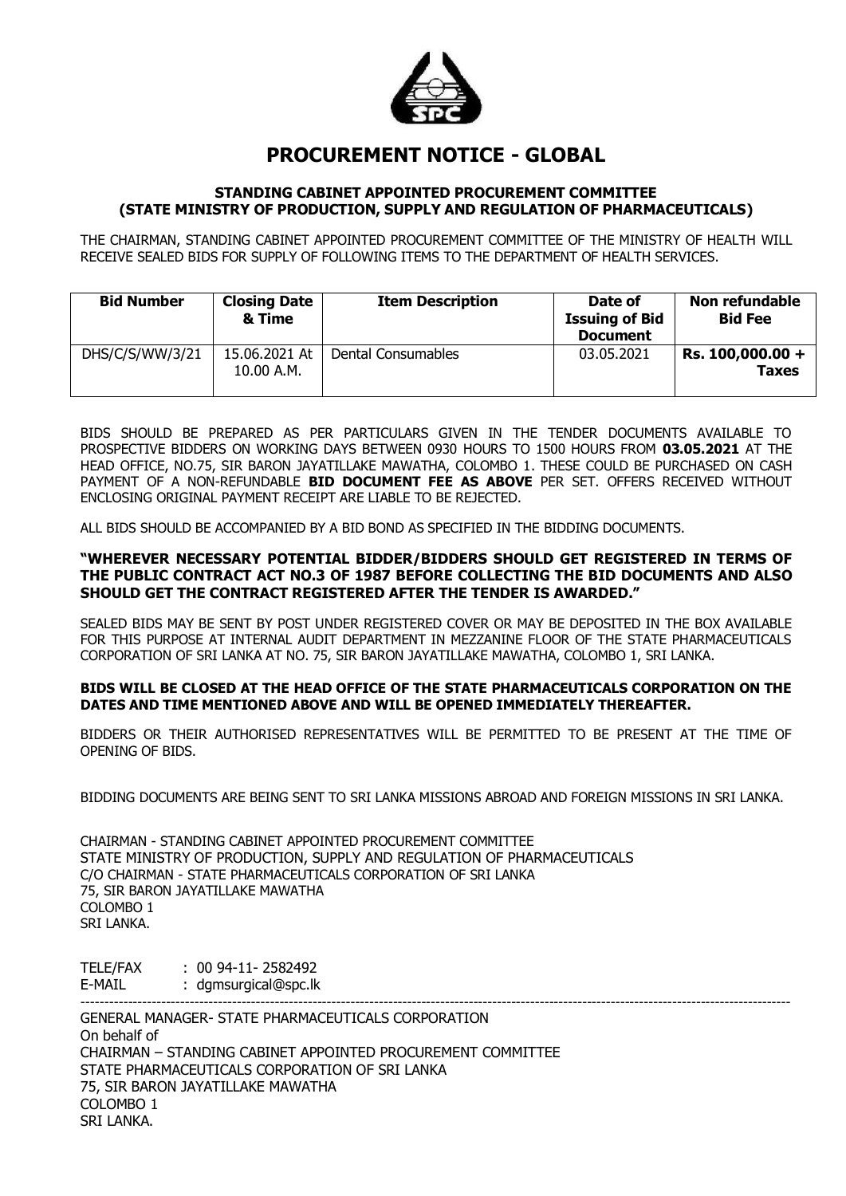

# **PROCUREMENT NOTICE - GLOBAL**

#### **STANDING CABINET APPOINTED PROCUREMENT COMMITTEE (STATE MINISTRY OF PRODUCTION, SUPPLY AND REGULATION OF PHARMACEUTICALS)**

THE CHAIRMAN, STANDING CABINET APPOINTED PROCUREMENT COMMITTEE OF THE MINISTRY OF HEALTH WILL RECEIVE SEALED BIDS FOR SUPPLY OF FOLLOWING ITEMS TO THE DEPARTMENT OF HEALTH SERVICES.

| <b>Bid Number</b> | <b>Closing Date</b><br>& Time | <b>Item Description</b> | Date of<br><b>Issuing of Bid</b><br><b>Document</b> | Non refundable<br><b>Bid Fee</b>   |
|-------------------|-------------------------------|-------------------------|-----------------------------------------------------|------------------------------------|
| DHS/C/S/WW/3/21   | 15.06.2021 At<br>10.00 A.M.   | Dental Consumables      | 03.05.2021                                          | $Rs. 100,000.00 +$<br><b>Taxes</b> |

BIDS SHOULD BE PREPARED AS PER PARTICULARS GIVEN IN THE TENDER DOCUMENTS AVAILABLE TO PROSPECTIVE BIDDERS ON WORKING DAYS BETWEEN 0930 HOURS TO 1500 HOURS FROM **03.05.2021** AT THE HEAD OFFICE, NO.75, SIR BARON JAYATILLAKE MAWATHA, COLOMBO 1. THESE COULD BE PURCHASED ON CASH PAYMENT OF A NON-REFUNDABLE **BID DOCUMENT FEE AS ABOVE** PER SET. OFFERS RECEIVED WITHOUT ENCLOSING ORIGINAL PAYMENT RECEIPT ARE LIABLE TO BE REJECTED.

ALL BIDS SHOULD BE ACCOMPANIED BY A BID BOND AS SPECIFIED IN THE BIDDING DOCUMENTS.

#### **"WHEREVER NECESSARY POTENTIAL BIDDER/BIDDERS SHOULD GET REGISTERED IN TERMS OF THE PUBLIC CONTRACT ACT NO.3 OF 1987 BEFORE COLLECTING THE BID DOCUMENTS AND ALSO SHOULD GET THE CONTRACT REGISTERED AFTER THE TENDER IS AWARDED."**

SEALED BIDS MAY BE SENT BY POST UNDER REGISTERED COVER OR MAY BE DEPOSITED IN THE BOX AVAILABLE FOR THIS PURPOSE AT INTERNAL AUDIT DEPARTMENT IN MEZZANINE FLOOR OF THE STATE PHARMACEUTICALS CORPORATION OF SRI LANKA AT NO. 75, SIR BARON JAYATILLAKE MAWATHA, COLOMBO 1, SRI LANKA.

#### **BIDS WILL BE CLOSED AT THE HEAD OFFICE OF THE STATE PHARMACEUTICALS CORPORATION ON THE DATES AND TIME MENTIONED ABOVE AND WILL BE OPENED IMMEDIATELY THEREAFTER.**

BIDDERS OR THEIR AUTHORISED REPRESENTATIVES WILL BE PERMITTED TO BE PRESENT AT THE TIME OF OPENING OF BIDS.

BIDDING DOCUMENTS ARE BEING SENT TO SRI LANKA MISSIONS ABROAD AND FOREIGN MISSIONS IN SRI LANKA.

CHAIRMAN - STANDING CABINET APPOINTED PROCUREMENT COMMITTEE STATE MINISTRY OF PRODUCTION, SUPPLY AND REGULATION OF PHARMACEUTICALS C/O CHAIRMAN - STATE PHARMACEUTICALS CORPORATION OF SRI LANKA 75, SIR BARON JAYATILLAKE MAWATHA COLOMBO 1 SRI LANKA.

TELE/FAX : 00 94-11- 2582492 E-MAIL : dgmsurgical@spc.lk

------------------------------------------------------------------------------------------------------------------------------------------------------ GENERAL MANAGER- STATE PHARMACEUTICALS CORPORATION On behalf of CHAIRMAN – STANDING CABINET APPOINTED PROCUREMENT COMMITTEE STATE PHARMACEUTICALS CORPORATION OF SRI LANKA 75, SIR BARON JAYATILLAKE MAWATHA COLOMBO 1 SRI LANKA.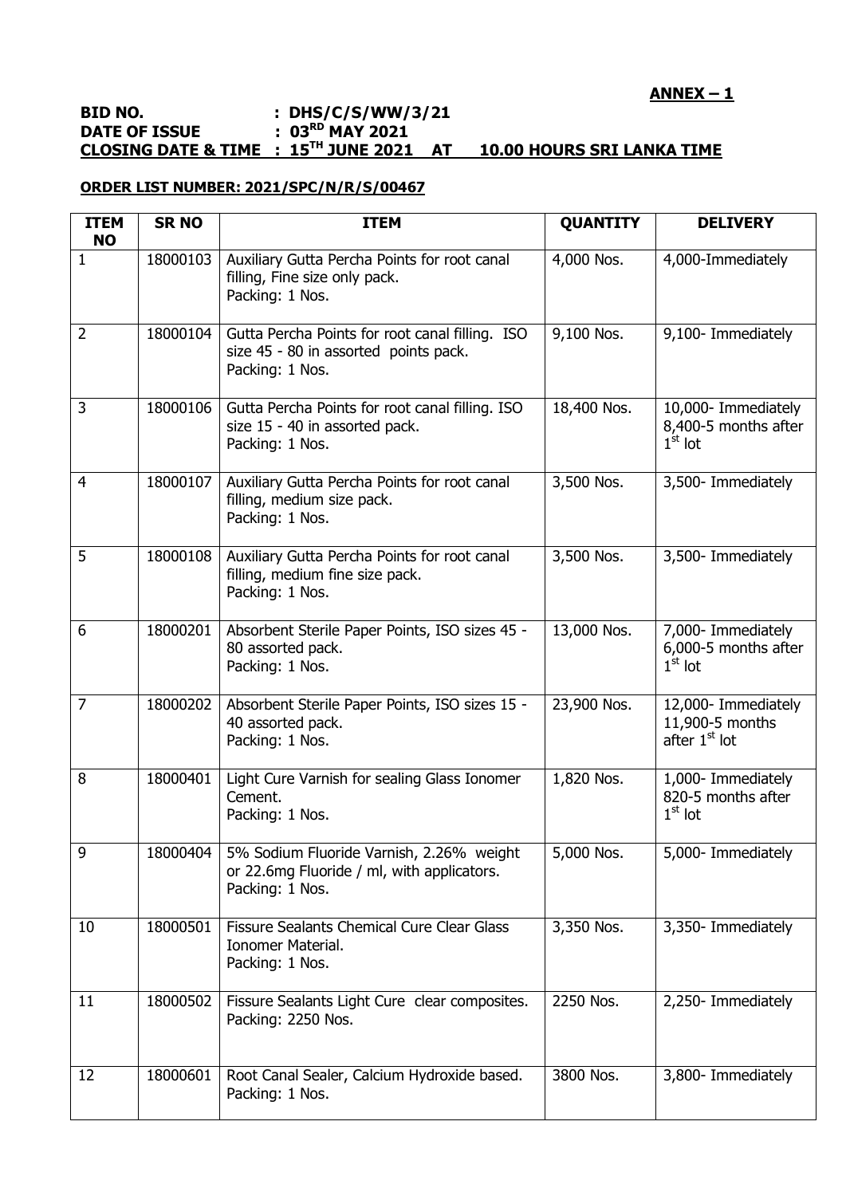## **ANNEX – 1**

#### **BID NO. : DHS/C/S/WW/3/21 DATE OF ISSUE : 03RD MAY 2021 CLOSING DATE & TIME : 15TH JUNE 2021 AT 10.00 HOURS SRI LANKA TIME**

### **ORDER LIST NUMBER: 2021/SPC/N/R/S/00467**

| <b>ITEM</b><br><b>NO</b> | <b>SR NO</b> | <b>ITEM</b>                                                                                                 | <b>QUANTITY</b> | <b>DELIVERY</b>                                                     |
|--------------------------|--------------|-------------------------------------------------------------------------------------------------------------|-----------------|---------------------------------------------------------------------|
| $\mathbf{1}$             | 18000103     | Auxiliary Gutta Percha Points for root canal<br>filling, Fine size only pack.<br>Packing: 1 Nos.            | 4,000 Nos.      | 4,000-Immediately                                                   |
| $\overline{2}$           | 18000104     | Gutta Percha Points for root canal filling. ISO<br>size 45 - 80 in assorted points pack.<br>Packing: 1 Nos. | 9,100 Nos.      | 9,100- Immediately                                                  |
| 3                        | 18000106     | Gutta Percha Points for root canal filling. ISO<br>size 15 - 40 in assorted pack.<br>Packing: 1 Nos.        | 18,400 Nos.     | 10,000- Immediately<br>8,400-5 months after<br>$1st$ lot            |
| 4                        | 18000107     | Auxiliary Gutta Percha Points for root canal<br>filling, medium size pack.<br>Packing: 1 Nos.               | 3,500 Nos.      | 3,500- Immediately                                                  |
| 5                        | 18000108     | Auxiliary Gutta Percha Points for root canal<br>filling, medium fine size pack.<br>Packing: 1 Nos.          | 3,500 Nos.      | 3,500- Immediately                                                  |
| 6                        | 18000201     | Absorbent Sterile Paper Points, ISO sizes 45 -<br>80 assorted pack.<br>Packing: 1 Nos.                      | 13,000 Nos.     | 7,000- Immediately<br>6,000-5 months after<br>$1st$ lot             |
| $\overline{7}$           | 18000202     | Absorbent Sterile Paper Points, ISO sizes 15 -<br>40 assorted pack.<br>Packing: 1 Nos.                      | 23,900 Nos.     | 12,000- Immediately<br>11,900-5 months<br>after 1 <sup>st</sup> lot |
| 8                        | 18000401     | Light Cure Varnish for sealing Glass Ionomer<br>Cement.<br>Packing: 1 Nos.                                  | 1,820 Nos.      | 1,000- Immediately<br>820-5 months after<br>$1st$ lot               |
| 9                        | 18000404     | 5% Sodium Fluoride Varnish, 2.26% weight<br>or 22.6mg Fluoride / ml, with applicators.<br>Packing: 1 Nos.   | 5,000 Nos.      | 5,000- Immediately                                                  |
| 10                       | 18000501     | <b>Fissure Sealants Chemical Cure Clear Glass</b><br>Ionomer Material.<br>Packing: 1 Nos.                   | 3,350 Nos.      | 3,350- Immediately                                                  |
| 11                       | 18000502     | Fissure Sealants Light Cure clear composites.<br>Packing: 2250 Nos.                                         | 2250 Nos.       | 2,250- Immediately                                                  |
| 12                       | 18000601     | Root Canal Sealer, Calcium Hydroxide based.<br>Packing: 1 Nos.                                              | 3800 Nos.       | 3,800- Immediately                                                  |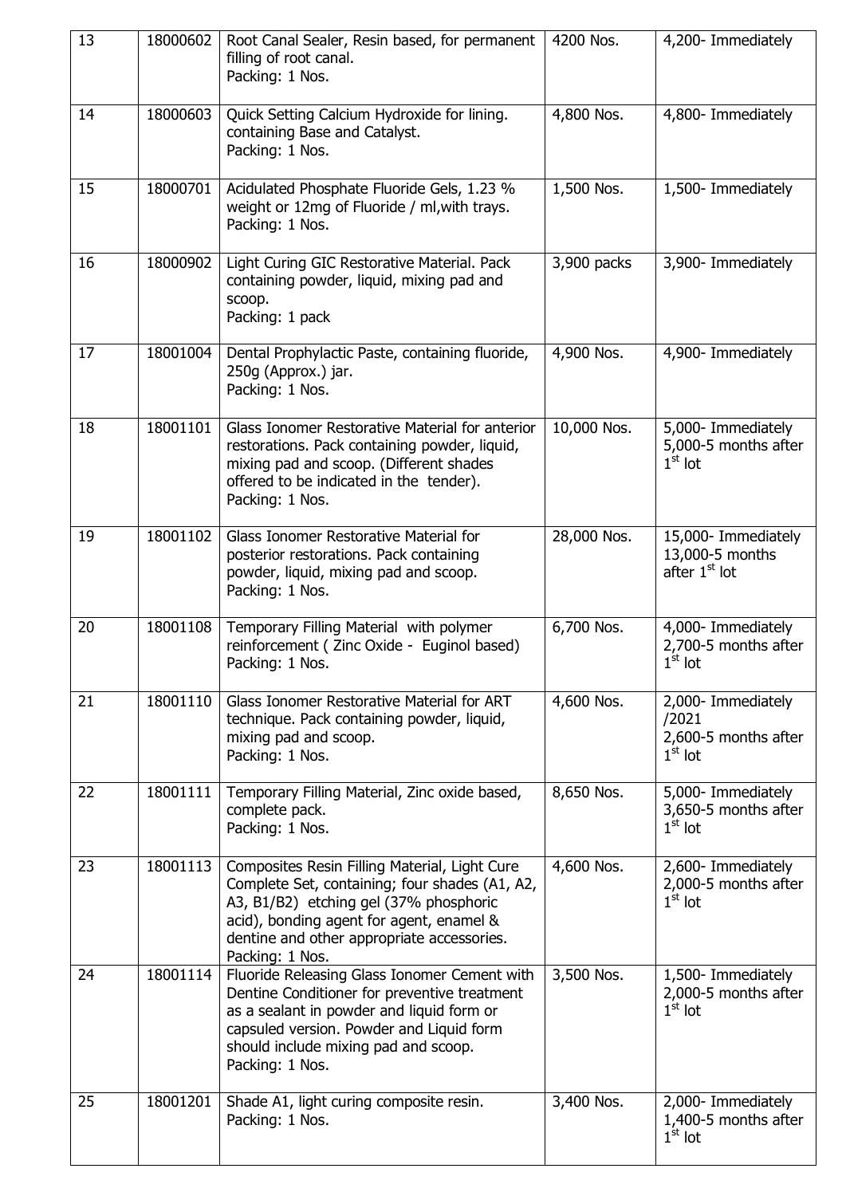| 13 | 18000602 | Root Canal Sealer, Resin based, for permanent<br>filling of root canal.<br>Packing: 1 Nos.                                                                                                                                                             | 4200 Nos.   | 4,200- Immediately                                                  |
|----|----------|--------------------------------------------------------------------------------------------------------------------------------------------------------------------------------------------------------------------------------------------------------|-------------|---------------------------------------------------------------------|
| 14 | 18000603 | Quick Setting Calcium Hydroxide for lining.<br>containing Base and Catalyst.<br>Packing: 1 Nos.                                                                                                                                                        | 4,800 Nos.  | 4,800- Immediately                                                  |
| 15 | 18000701 | Acidulated Phosphate Fluoride Gels, 1.23 %<br>weight or 12mg of Fluoride / ml, with trays.<br>Packing: 1 Nos.                                                                                                                                          | 1,500 Nos.  | 1,500- Immediately                                                  |
| 16 | 18000902 | Light Curing GIC Restorative Material. Pack<br>containing powder, liquid, mixing pad and<br>scoop.<br>Packing: 1 pack                                                                                                                                  | 3,900 packs | 3,900- Immediately                                                  |
| 17 | 18001004 | Dental Prophylactic Paste, containing fluoride,<br>250g (Approx.) jar.<br>Packing: 1 Nos.                                                                                                                                                              | 4,900 Nos.  | 4,900- Immediately                                                  |
| 18 | 18001101 | Glass Ionomer Restorative Material for anterior<br>restorations. Pack containing powder, liquid,<br>mixing pad and scoop. (Different shades<br>offered to be indicated in the tender).<br>Packing: 1 Nos.                                              | 10,000 Nos. | 5,000- Immediately<br>5,000-5 months after<br>$1st$ lot             |
| 19 | 18001102 | Glass Ionomer Restorative Material for<br>posterior restorations. Pack containing<br>powder, liquid, mixing pad and scoop.<br>Packing: 1 Nos.                                                                                                          | 28,000 Nos. | 15,000- Immediately<br>13,000-5 months<br>after 1 <sup>st</sup> lot |
| 20 | 18001108 | Temporary Filling Material with polymer<br>reinforcement ( Zinc Oxide - Euginol based)<br>Packing: 1 Nos.                                                                                                                                              | 6,700 Nos.  | 4,000- Immediately<br>2,700-5 months after<br>$1st$ lot             |
| 21 | 18001110 | Glass Ionomer Restorative Material for ART<br>technique. Pack containing powder, liquid,<br>mixing pad and scoop.<br>Packing: 1 Nos.                                                                                                                   | 4,600 Nos.  | 2,000- Immediately<br>/2021<br>2,600-5 months after<br>$1st$ lot    |
| 22 | 18001111 | Temporary Filling Material, Zinc oxide based,<br>complete pack.<br>Packing: 1 Nos.                                                                                                                                                                     | 8,650 Nos.  | 5,000- Immediately<br>3,650-5 months after<br>$1st$ lot             |
| 23 | 18001113 | Composites Resin Filling Material, Light Cure<br>Complete Set, containing; four shades (A1, A2,<br>A3, B1/B2) etching gel (37% phosphoric<br>acid), bonding agent for agent, enamel &<br>dentine and other appropriate accessories.<br>Packing: 1 Nos. | 4,600 Nos.  | 2,600- Immediately<br>2,000-5 months after<br>$1st$ lot             |
| 24 | 18001114 | Fluoride Releasing Glass Ionomer Cement with<br>Dentine Conditioner for preventive treatment<br>as a sealant in powder and liquid form or<br>capsuled version. Powder and Liquid form<br>should include mixing pad and scoop.<br>Packing: 1 Nos.       | 3,500 Nos.  | 1,500- Immediately<br>2,000-5 months after<br>$1st$ lot             |
| 25 | 18001201 | Shade A1, light curing composite resin.<br>Packing: 1 Nos.                                                                                                                                                                                             | 3,400 Nos.  | 2,000- Immediately<br>1,400-5 months after<br>$1st$ lot             |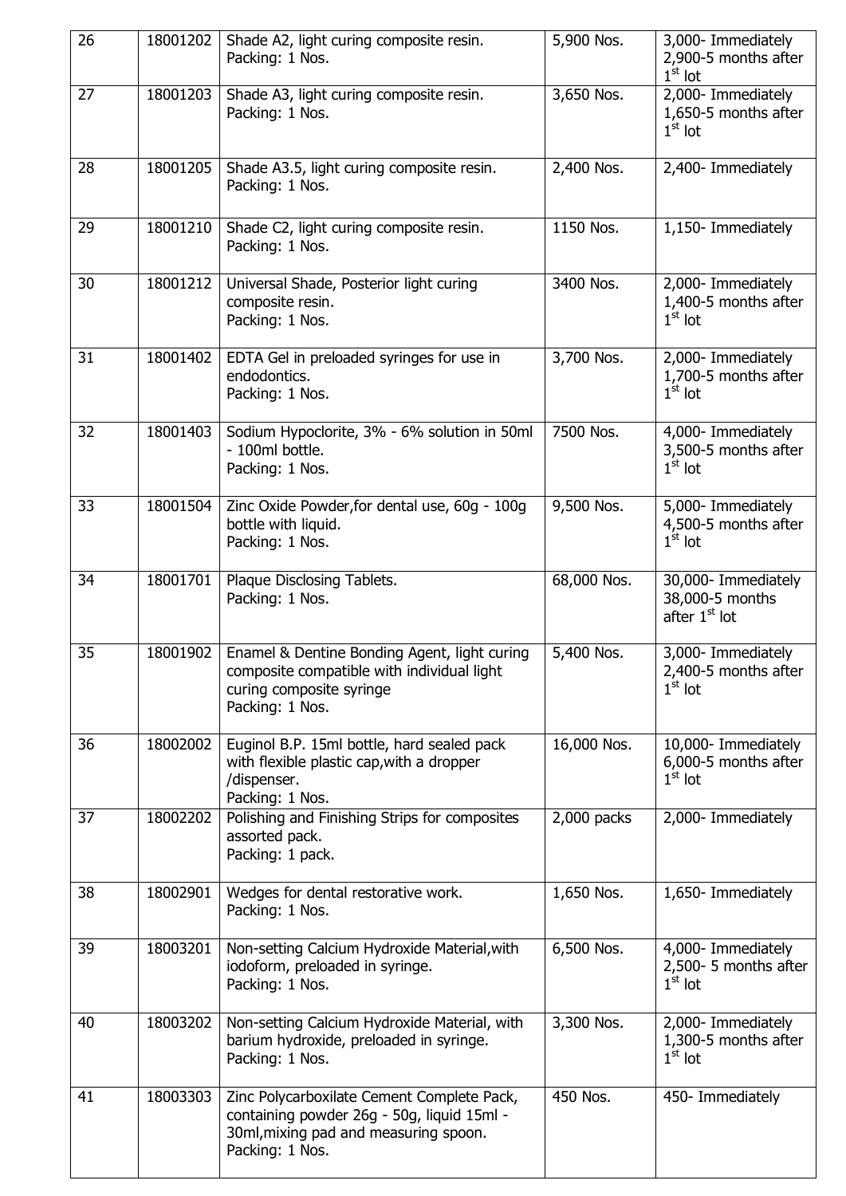| 26 | 18001202 | Shade A2, light curing composite resin.<br>Packing: 1 Nos.                                                                                           | 5,900 Nos.  | 3,000- Immediately<br>2,900-5 months after<br>$1st$ lot             |
|----|----------|------------------------------------------------------------------------------------------------------------------------------------------------------|-------------|---------------------------------------------------------------------|
| 27 | 18001203 | Shade A3, light curing composite resin.<br>Packing: 1 Nos.                                                                                           | 3,650 Nos.  | 2,000- Immediately<br>1,650-5 months after<br>$1st$ lot             |
| 28 | 18001205 | Shade A3.5, light curing composite resin.<br>Packing: 1 Nos.                                                                                         | 2,400 Nos.  | 2,400- Immediately                                                  |
| 29 | 18001210 | Shade C2, light curing composite resin.<br>Packing: 1 Nos.                                                                                           | 1150 Nos.   | 1,150- Immediately                                                  |
| 30 | 18001212 | Universal Shade, Posterior light curing<br>composite resin.<br>Packing: 1 Nos.                                                                       | 3400 Nos.   | 2,000- Immediately<br>1,400-5 months after<br>$1st$ lot             |
| 31 | 18001402 | EDTA Gel in preloaded syringes for use in<br>endodontics.<br>Packing: 1 Nos.                                                                         | 3,700 Nos.  | 2,000- Immediately<br>1,700-5 months after<br>$1st$ lot             |
| 32 | 18001403 | Sodium Hypoclorite, 3% - 6% solution in 50ml<br>- 100ml bottle.<br>Packing: 1 Nos.                                                                   | 7500 Nos.   | 4,000- Immediately<br>3,500-5 months after<br>$1st$ lot             |
| 33 | 18001504 | Zinc Oxide Powder, for dental use, 60g - 100g<br>bottle with liquid.<br>Packing: 1 Nos.                                                              | 9,500 Nos.  | 5,000- Immediately<br>4,500-5 months after<br>$1st$ lot             |
| 34 | 18001701 | Plaque Disclosing Tablets.<br>Packing: 1 Nos.                                                                                                        | 68,000 Nos. | 30,000- Immediately<br>38,000-5 months<br>after 1 <sup>st</sup> lot |
| 35 | 18001902 | Enamel & Dentine Bonding Agent, light curing<br>composite compatible with individual light<br>curing composite syringe<br>Packing: 1 Nos.            | 5,400 Nos.  | 3,000- Immediately<br>2,400-5 months after<br>$1st$ lot             |
| 36 | 18002002 | Euginol B.P. 15ml bottle, hard sealed pack<br>with flexible plastic cap, with a dropper<br>/dispenser.<br>Packing: 1 Nos.                            | 16,000 Nos. | 10,000- Immediately<br>6,000-5 months after<br>$1st$ lot            |
| 37 | 18002202 | Polishing and Finishing Strips for composites<br>assorted pack.<br>Packing: 1 pack.                                                                  | 2,000 packs | 2,000- Immediately                                                  |
| 38 | 18002901 | Wedges for dental restorative work.<br>Packing: 1 Nos.                                                                                               | 1,650 Nos.  | 1,650- Immediately                                                  |
| 39 | 18003201 | Non-setting Calcium Hydroxide Material, with<br>iodoform, preloaded in syringe.<br>Packing: 1 Nos.                                                   | 6,500 Nos.  | 4,000- Immediately<br>2,500- 5 months after<br>$1st$ lot            |
| 40 | 18003202 | Non-setting Calcium Hydroxide Material, with<br>barium hydroxide, preloaded in syringe.<br>Packing: 1 Nos.                                           | 3,300 Nos.  | 2,000- Immediately<br>1,300-5 months after<br>$1st$ lot             |
| 41 | 18003303 | Zinc Polycarboxilate Cement Complete Pack,<br>containing powder 26g - 50g, liquid 15ml -<br>30ml, mixing pad and measuring spoon.<br>Packing: 1 Nos. | 450 Nos.    | 450- Immediately                                                    |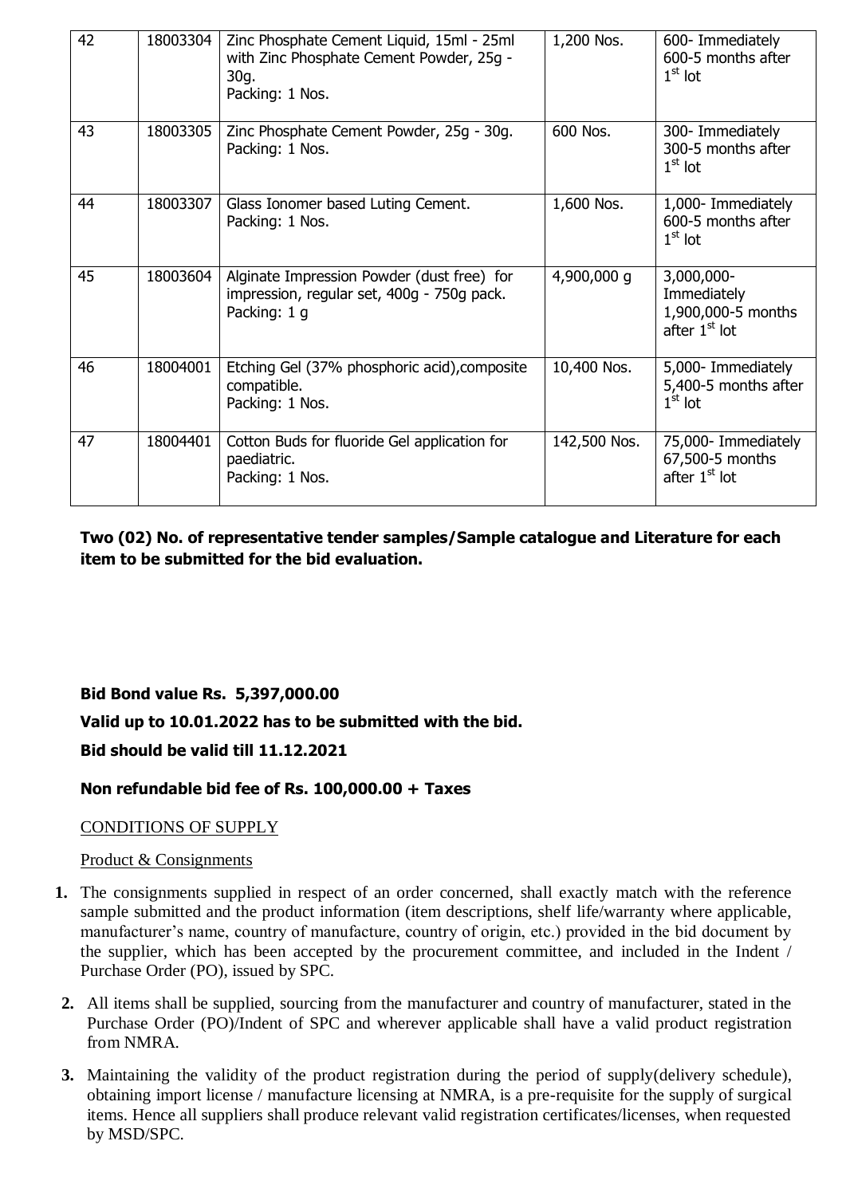| 42 | 18003304 | Zinc Phosphate Cement Liquid, 15ml - 25ml<br>with Zinc Phosphate Cement Powder, 25g -<br>30g.<br>Packing: 1 Nos. | 1,200 Nos.   | 600- Immediately<br>600-5 months after<br>$1st$ lot                |
|----|----------|------------------------------------------------------------------------------------------------------------------|--------------|--------------------------------------------------------------------|
| 43 | 18003305 | Zinc Phosphate Cement Powder, 25g - 30g.<br>Packing: 1 Nos.                                                      | 600 Nos.     | 300- Immediately<br>300-5 months after<br>$1st$ lot                |
| 44 | 18003307 | Glass Ionomer based Luting Cement.<br>Packing: 1 Nos.                                                            | 1,600 Nos.   | 1,000- Immediately<br>600-5 months after<br>$1st$ lot              |
| 45 | 18003604 | Alginate Impression Powder (dust free) for<br>impression, regular set, 400g - 750g pack.<br>Packing: 1 g         | 4,900,000 g  | 3,000,000-<br>Immediately<br>1,900,000-5 months<br>after $1st$ lot |
| 46 | 18004001 | Etching Gel (37% phosphoric acid), composite<br>compatible.<br>Packing: 1 Nos.                                   | 10,400 Nos.  | 5,000- Immediately<br>5,400-5 months after<br>$1st$ lot            |
| 47 | 18004401 | Cotton Buds for fluoride Gel application for<br>paediatric.<br>Packing: 1 Nos.                                   | 142,500 Nos. | 75,000- Immediately<br>67,500-5 months<br>after $1st$ lot          |

**Two (02) No. of representative tender samples/Sample catalogue and Literature for each item to be submitted for the bid evaluation.**

# **Bid Bond value Rs. 5,397,000.00**

## **Valid up to 10.01.2022 has to be submitted with the bid.**

## **Bid should be valid till 11.12.2021**

## **Non refundable bid fee of Rs. 100,000.00 + Taxes**

#### CONDITIONS OF SUPPLY

#### Product & Consignments

- **1.** The consignments supplied in respect of an order concerned, shall exactly match with the reference sample submitted and the product information (item descriptions, shelf life/warranty where applicable, manufacturer's name, country of manufacture, country of origin, etc.) provided in the bid document by the supplier, which has been accepted by the procurement committee, and included in the Indent / Purchase Order (PO), issued by SPC.
- **2.** All items shall be supplied, sourcing from the manufacturer and country of manufacturer, stated in the Purchase Order (PO)/Indent of SPC and wherever applicable shall have a valid product registration from NMRA.
- **3.** Maintaining the validity of the product registration during the period of supply(delivery schedule), obtaining import license / manufacture licensing at NMRA, is a pre-requisite for the supply of surgical items. Hence all suppliers shall produce relevant valid registration certificates/licenses, when requested by MSD/SPC.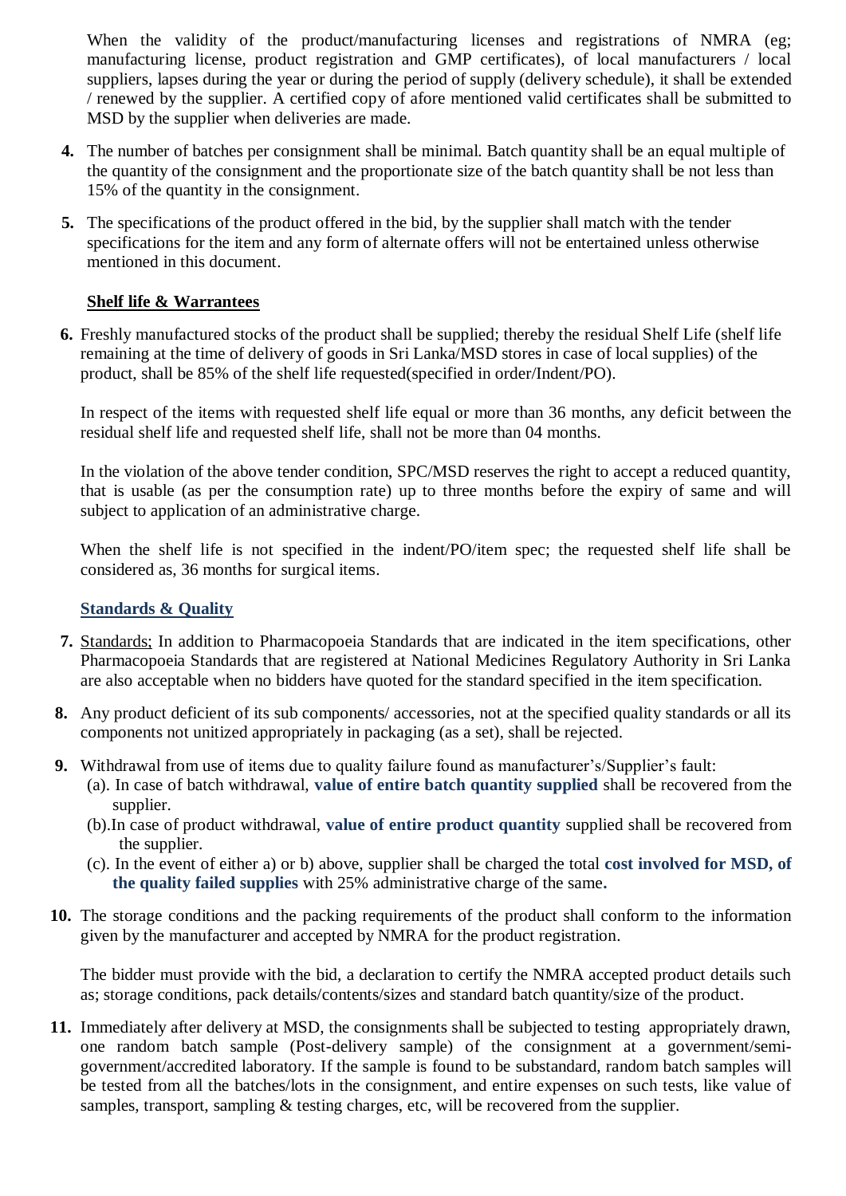When the validity of the product/manufacturing licenses and registrations of NMRA (eg; manufacturing license, product registration and GMP certificates), of local manufacturers / local suppliers, lapses during the year or during the period of supply (delivery schedule), it shall be extended / renewed by the supplier. A certified copy of afore mentioned valid certificates shall be submitted to MSD by the supplier when deliveries are made.

- **4.** The number of batches per consignment shall be minimal. Batch quantity shall be an equal multiple of the quantity of the consignment and the proportionate size of the batch quantity shall be not less than 15% of the quantity in the consignment.
- **5.** The specifications of the product offered in the bid, by the supplier shall match with the tender specifications for the item and any form of alternate offers will not be entertained unless otherwise mentioned in this document.

# **Shelf life & Warrantees**

**6.** Freshly manufactured stocks of the product shall be supplied; thereby the residual Shelf Life (shelf life remaining at the time of delivery of goods in Sri Lanka/MSD stores in case of local supplies) of the product, shall be 85% of the shelf life requested(specified in order/Indent/PO).

In respect of the items with requested shelf life equal or more than 36 months, any deficit between the residual shelf life and requested shelf life, shall not be more than 04 months.

In the violation of the above tender condition, SPC/MSD reserves the right to accept a reduced quantity, that is usable (as per the consumption rate) up to three months before the expiry of same and will subject to application of an administrative charge.

When the shelf life is not specified in the indent/PO/item spec; the requested shelf life shall be considered as, 36 months for surgical items.

## **Standards & Quality**

- **7.** Standards; In addition to Pharmacopoeia Standards that are indicated in the item specifications, other Pharmacopoeia Standards that are registered at National Medicines Regulatory Authority in Sri Lanka are also acceptable when no bidders have quoted for the standard specified in the item specification.
- **8.** Any product deficient of its sub components/ accessories, not at the specified quality standards or all its components not unitized appropriately in packaging (as a set), shall be rejected.
- **9.** Withdrawal from use of items due to quality failure found as manufacturer's/Supplier's fault:
	- (a). In case of batch withdrawal, **value of entire batch quantity supplied** shall be recovered from the supplier.
	- (b).In case of product withdrawal, **value of entire product quantity** supplied shall be recovered from the supplier.
	- (c). In the event of either a) or b) above, supplier shall be charged the total **cost involved for MSD, of the quality failed supplies** with 25% administrative charge of the same**.**
- **10.** The storage conditions and the packing requirements of the product shall conform to the information given by the manufacturer and accepted by NMRA for the product registration.

The bidder must provide with the bid, a declaration to certify the NMRA accepted product details such as; storage conditions, pack details/contents/sizes and standard batch quantity/size of the product.

**11.** Immediately after delivery at MSD, the consignments shall be subjected to testing appropriately drawn, one random batch sample (Post-delivery sample) of the consignment at a government/semigovernment/accredited laboratory. If the sample is found to be substandard, random batch samples will be tested from all the batches/lots in the consignment, and entire expenses on such tests, like value of samples, transport, sampling & testing charges, etc, will be recovered from the supplier.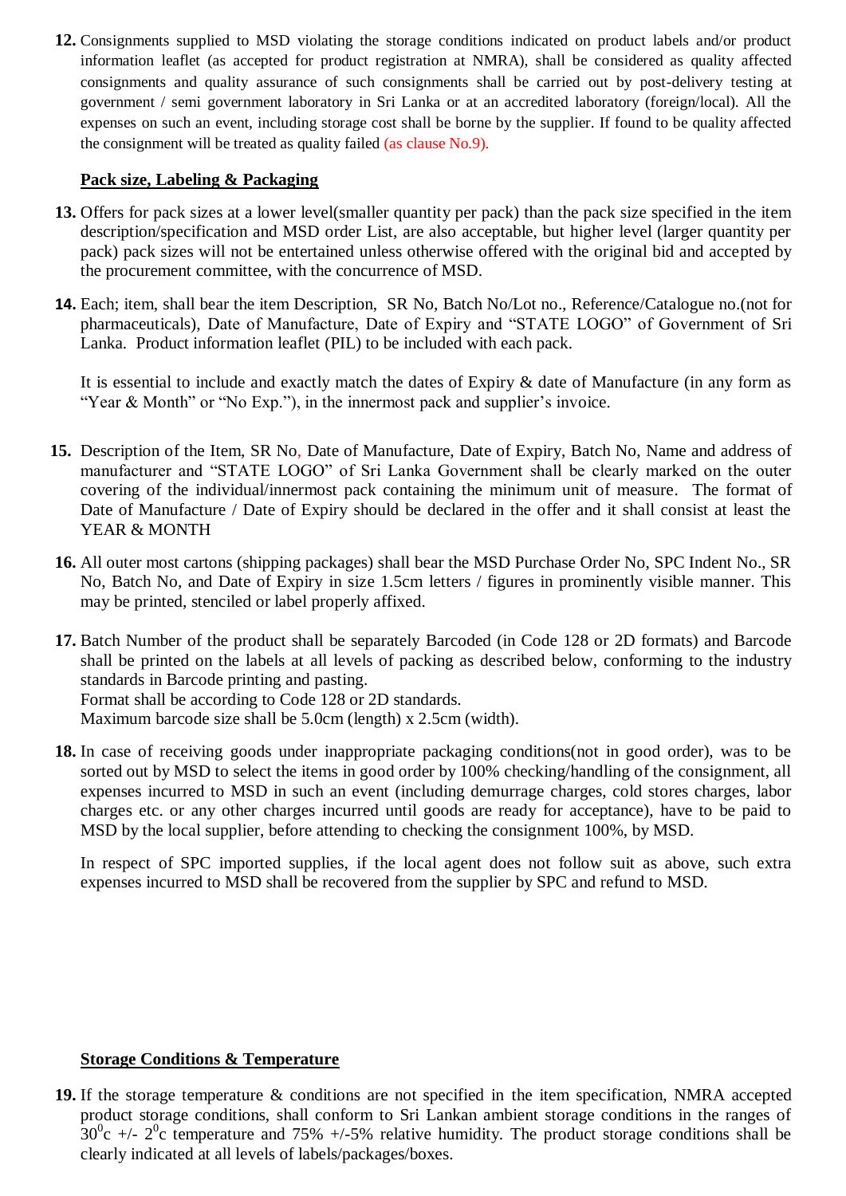**12.** Consignments supplied to MSD violating the storage conditions indicated on product labels and/or product information leaflet (as accepted for product registration at NMRA), shall be considered as quality affected consignments and quality assurance of such consignments shall be carried out by post-delivery testing at government / semi government laboratory in Sri Lanka or at an accredited laboratory (foreign/local). All the expenses on such an event, including storage cost shall be borne by the supplier. If found to be quality affected the consignment will be treated as quality failed (as clause No.9).

## **Pack size, Labeling & Packaging**

- **13.** Offers for pack sizes at a lower level(smaller quantity per pack) than the pack size specified in the item description/specification and MSD order List, are also acceptable, but higher level (larger quantity per pack) pack sizes will not be entertained unless otherwise offered with the original bid and accepted by the procurement committee, with the concurrence of MSD.
- **14.** Each; item, shall bear the item Description, SR No, Batch No/Lot no., Reference/Catalogue no.(not for pharmaceuticals), Date of Manufacture, Date of Expiry and "STATE LOGO" of Government of Sri Lanka. Product information leaflet (PIL) to be included with each pack.

It is essential to include and exactly match the dates of Expiry & date of Manufacture (in any form as "Year & Month" or "No Exp."), in the innermost pack and supplier's invoice.

- **15.** Description of the Item, SR No, Date of Manufacture, Date of Expiry, Batch No, Name and address of manufacturer and "STATE LOGO" of Sri Lanka Government shall be clearly marked on the outer covering of the individual/innermost pack containing the minimum unit of measure. The format of Date of Manufacture / Date of Expiry should be declared in the offer and it shall consist at least the YEAR & MONTH
- **16.** All outer most cartons (shipping packages) shall bear the MSD Purchase Order No, SPC Indent No., SR No, Batch No, and Date of Expiry in size 1.5cm letters / figures in prominently visible manner. This may be printed, stenciled or label properly affixed.
- **17.** Batch Number of the product shall be separately Barcoded (in Code 128 or 2D formats) and Barcode shall be printed on the labels at all levels of packing as described below, conforming to the industry standards in Barcode printing and pasting. Format shall be according to Code 128 or 2D standards. Maximum barcode size shall be 5.0cm (length) x 2.5cm (width).
- **18.** In case of receiving goods under inappropriate packaging conditions(not in good order), was to be sorted out by MSD to select the items in good order by 100% checking/handling of the consignment, all expenses incurred to MSD in such an event (including demurrage charges, cold stores charges, labor charges etc. or any other charges incurred until goods are ready for acceptance), have to be paid to MSD by the local supplier, before attending to checking the consignment 100%, by MSD.

In respect of SPC imported supplies, if the local agent does not follow suit as above, such extra expenses incurred to MSD shall be recovered from the supplier by SPC and refund to MSD.

#### **Storage Conditions & Temperature**

**19.** If the storage temperature & conditions are not specified in the item specification, NMRA accepted product storage conditions, shall conform to Sri Lankan ambient storage conditions in the ranges of  $30^0$ c +/-  $2^0$ c temperature and 75% +/-5% relative humidity. The product storage conditions shall be clearly indicated at all levels of labels/packages/boxes.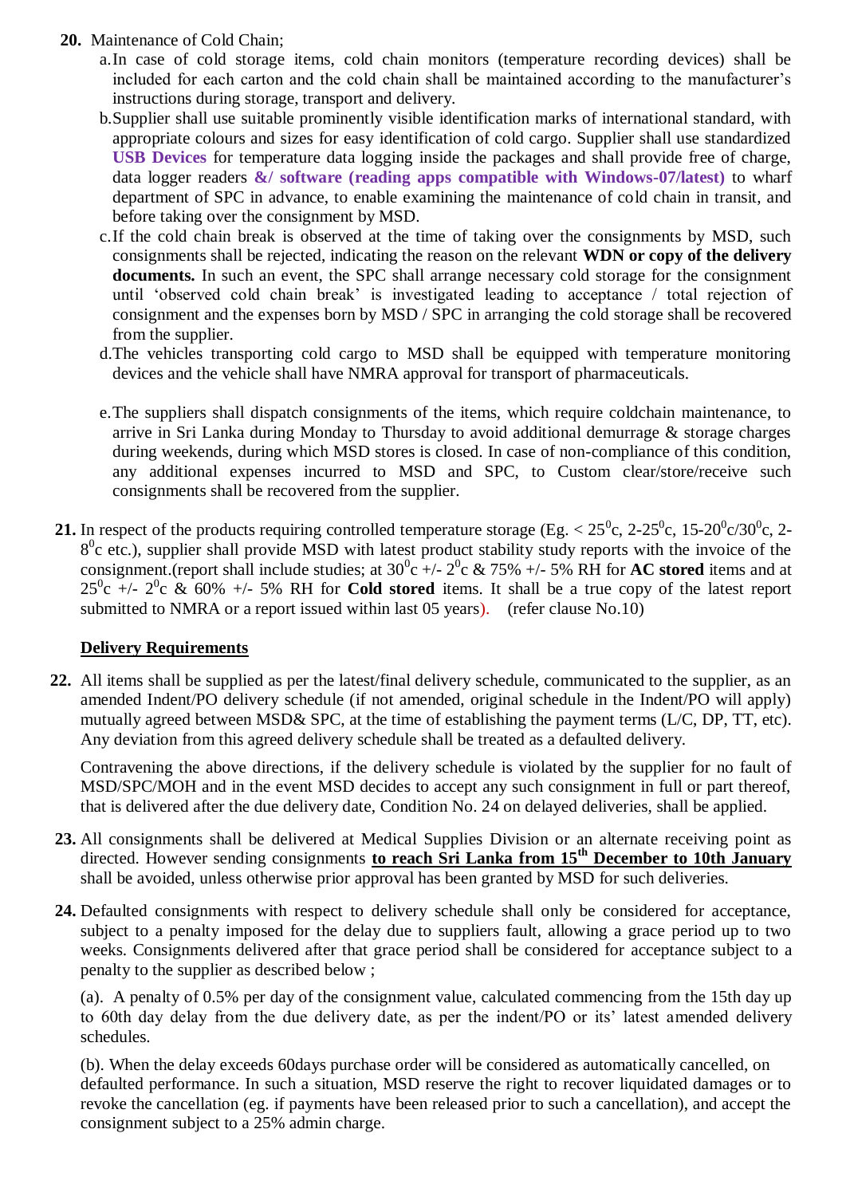- **20.** Maintenance of Cold Chain;
	- a.In case of cold storage items, cold chain monitors (temperature recording devices) shall be included for each carton and the cold chain shall be maintained according to the manufacturer's instructions during storage, transport and delivery.
	- b.Supplier shall use suitable prominently visible identification marks of international standard, with appropriate colours and sizes for easy identification of cold cargo. Supplier shall use standardized **USB Devices** for temperature data logging inside the packages and shall provide free of charge, data logger readers **&/ software (reading apps compatible with Windows-07/latest)** to wharf department of SPC in advance, to enable examining the maintenance of cold chain in transit, and before taking over the consignment by MSD.
	- c.If the cold chain break is observed at the time of taking over the consignments by MSD, such consignments shall be rejected, indicating the reason on the relevant **WDN or copy of the delivery documents.** In such an event, the SPC shall arrange necessary cold storage for the consignment until "observed cold chain break" is investigated leading to acceptance / total rejection of consignment and the expenses born by MSD / SPC in arranging the cold storage shall be recovered from the supplier.
	- d.The vehicles transporting cold cargo to MSD shall be equipped with temperature monitoring devices and the vehicle shall have NMRA approval for transport of pharmaceuticals.
	- e.The suppliers shall dispatch consignments of the items, which require coldchain maintenance, to arrive in Sri Lanka during Monday to Thursday to avoid additional demurrage & storage charges during weekends, during which MSD stores is closed. In case of non-compliance of this condition, any additional expenses incurred to MSD and SPC, to Custom clear/store/receive such consignments shall be recovered from the supplier.
- **21.** In respect of the products requiring controlled temperature storage (Eg.  $< 25^{\circ}$ c, 2-25<sup>°</sup>c, 15-20<sup>°</sup>c/30<sup>°</sup>c, 2-8<sup>0</sup>c etc.), supplier shall provide MSD with latest product stability study reports with the invoice of the consignment.(report shall include studies; at  $30^{\circ}c$  +/-  $2^{\circ}c$  & 75% +/- 5% RH for **AC stored** items and at  $25^0$ c +/-  $2^0$ c & 60% +/- 5% RH for **Cold stored** items. It shall be a true copy of the latest report submitted to NMRA or a report issued within last 05 years). (refer clause No.10)

## **Delivery Requirements**

**22.** All items shall be supplied as per the latest/final delivery schedule, communicated to the supplier, as an amended Indent/PO delivery schedule (if not amended, original schedule in the Indent/PO will apply) mutually agreed between MSD& SPC, at the time of establishing the payment terms (L/C, DP, TT, etc). Any deviation from this agreed delivery schedule shall be treated as a defaulted delivery.

Contravening the above directions, if the delivery schedule is violated by the supplier for no fault of MSD/SPC/MOH and in the event MSD decides to accept any such consignment in full or part thereof, that is delivered after the due delivery date, Condition No. 24 on delayed deliveries, shall be applied.

- **23.** All consignments shall be delivered at Medical Supplies Division or an alternate receiving point as directed. However sending consignments **to reach Sri Lanka from 15th December to 10th January**  shall be avoided, unless otherwise prior approval has been granted by MSD for such deliveries.
- **24.** Defaulted consignments with respect to delivery schedule shall only be considered for acceptance, subject to a penalty imposed for the delay due to suppliers fault, allowing a grace period up to two weeks. Consignments delivered after that grace period shall be considered for acceptance subject to a penalty to the supplier as described below ;

(a). A penalty of 0.5% per day of the consignment value, calculated commencing from the 15th day up to 60th day delay from the due delivery date, as per the indent/PO or its' latest amended delivery schedules.

(b). When the delay exceeds 60days purchase order will be considered as automatically cancelled, on defaulted performance. In such a situation, MSD reserve the right to recover liquidated damages or to revoke the cancellation (eg. if payments have been released prior to such a cancellation), and accept the consignment subject to a 25% admin charge.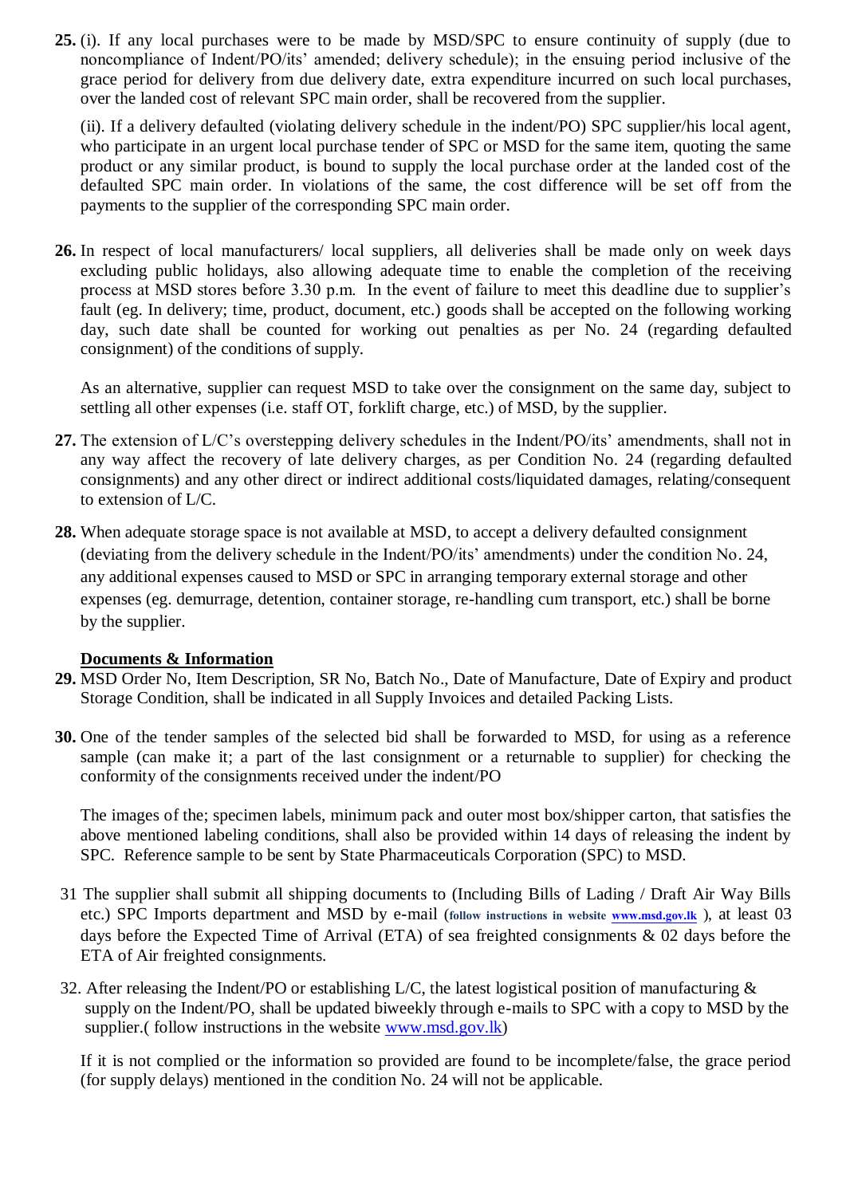**25.** (i). If any local purchases were to be made by MSD/SPC to ensure continuity of supply (due to noncompliance of Indent/PO/its" amended; delivery schedule); in the ensuing period inclusive of the grace period for delivery from due delivery date, extra expenditure incurred on such local purchases, over the landed cost of relevant SPC main order, shall be recovered from the supplier.

(ii). If a delivery defaulted (violating delivery schedule in the indent/PO) SPC supplier/his local agent, who participate in an urgent local purchase tender of SPC or MSD for the same item, quoting the same product or any similar product, is bound to supply the local purchase order at the landed cost of the defaulted SPC main order. In violations of the same, the cost difference will be set off from the payments to the supplier of the corresponding SPC main order.

**26.** In respect of local manufacturers/ local suppliers, all deliveries shall be made only on week days excluding public holidays, also allowing adequate time to enable the completion of the receiving process at MSD stores before 3.30 p.m. In the event of failure to meet this deadline due to supplier"s fault (eg. In delivery; time, product, document, etc.) goods shall be accepted on the following working day, such date shall be counted for working out penalties as per No. 24 (regarding defaulted consignment) of the conditions of supply.

As an alternative, supplier can request MSD to take over the consignment on the same day, subject to settling all other expenses (i.e. staff OT, forklift charge, etc.) of MSD, by the supplier.

- 27. The extension of L/C's overstepping delivery schedules in the Indent/PO/its' amendments, shall not in any way affect the recovery of late delivery charges, as per Condition No. 24 (regarding defaulted consignments) and any other direct or indirect additional costs/liquidated damages, relating/consequent to extension of L/C.
- **28.** When adequate storage space is not available at MSD, to accept a delivery defaulted consignment (deviating from the delivery schedule in the Indent/PO/its" amendments) under the condition No. 24, any additional expenses caused to MSD or SPC in arranging temporary external storage and other expenses (eg. demurrage, detention, container storage, re-handling cum transport, etc.) shall be borne by the supplier.

## **Documents & Information**

- **29.** MSD Order No, Item Description, SR No, Batch No., Date of Manufacture, Date of Expiry and product Storage Condition, shall be indicated in all Supply Invoices and detailed Packing Lists.
- **30.** One of the tender samples of the selected bid shall be forwarded to MSD, for using as a reference sample (can make it; a part of the last consignment or a returnable to supplier) for checking the conformity of the consignments received under the indent/PO

The images of the; specimen labels, minimum pack and outer most box/shipper carton, that satisfies the above mentioned labeling conditions, shall also be provided within 14 days of releasing the indent by SPC. Reference sample to be sent by State Pharmaceuticals Corporation (SPC) to MSD.

- 31 The supplier shall submit all shipping documents to (Including Bills of Lading / Draft Air Way Bills etc.) SPC Imports department and MSD by e-mail (**follow instructions in website [www.msd.gov.lk](http://www.msd.gov.lk/)** ), at least 03 days before the Expected Time of Arrival (ETA) of sea freighted consignments & 02 days before the ETA of Air freighted consignments.
- 32. After releasing the Indent/PO or establishing  $L/C$ , the latest logistical position of manufacturing  $\&$ supply on the Indent/PO, shall be updated biweekly through e-mails to SPC with a copy to MSD by the supplier.( follow instructions in the website [www.msd.gov.lk\)](http://www.msd.gov.lk/)

If it is not complied or the information so provided are found to be incomplete/false, the grace period (for supply delays) mentioned in the condition No. 24 will not be applicable.